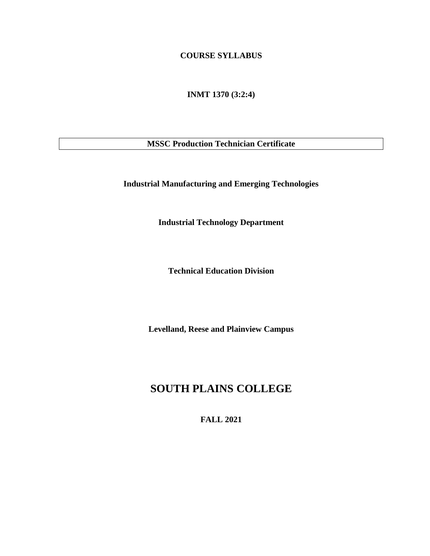## **COURSE SYLLABUS**

**INMT 1370 (3:2:4)**

**MSSC Production Technician Certificate**

**Industrial Manufacturing and Emerging Technologies**

**Industrial Technology Department**

**Technical Education Division**

**Levelland, Reese and Plainview Campus**

# **SOUTH PLAINS COLLEGE**

**FALL 2021**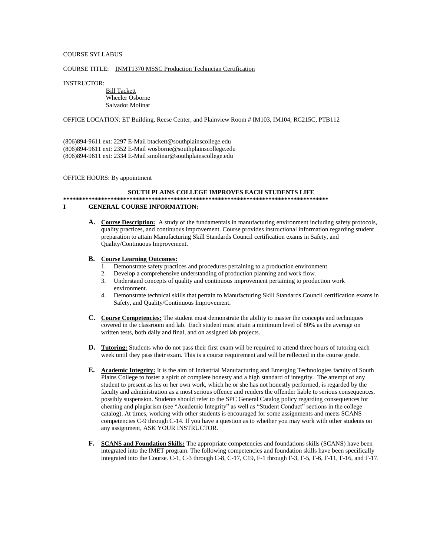## COURSE SYLLABUS

#### COURSE TITLE: INMT1370 MSSC Production Technician Certification

#### INSTRUCTOR:

 Bill Tackett Wheeler Osborne Salvador Molinar

#### OFFICE LOCATION: ET Building, Reese Center, and Plainview Room # IM103, IM104, RC215C, PTB112

(806)894-9611 ext: 2297 E-Mail btackett@southplainscollege.edu (806)894-9611 ext: 2352 E-Mail wosborne@southplainscollege.edu (806)894-9611 ext: 2334 E-Mail smolinar@southplainscollege.edu

#### OFFICE HOURS: By appointment

#### **SOUTH PLAINS COLLEGE IMPROVES EACH STUDENTS LIFE**

## **\*\*\*\*\*\*\*\*\*\*\*\*\*\*\*\*\*\*\*\*\*\*\*\*\*\*\*\*\*\*\*\*\*\*\*\*\*\*\*\*\*\*\*\*\*\*\*\*\*\*\*\*\*\*\*\*\*\*\*\*\*\*\*\*\*\*\*\*\*\*\*\*\*\*\*\*\*\*\*\*\*\*\*\***

## **I GENERAL COURSE INFORMATION:**

**A. Course Description:** A study of the fundamentals in manufacturing environment including safety protocols, quality practices, and continuous improvement. Course provides instructional information regarding student preparation to attain Manufacturing Skill Standards Council certification exams in Safety, and Quality/Continuous Improvement.

### **B. Course Learning Outcomes:**

- 1. Demonstrate safety practices and procedures pertaining to a production environment
- 2. Develop a comprehensive understanding of production planning and work flow.<br>3. Understand concepts of quality and continuous improvement pertaining to produ
- 3. Understand concepts of quality and continuous improvement pertaining to production work environment.
- 4. Demonstrate technical skills that pertain to Manufacturing Skill Standards Council certification exams in Safety, and Quality/Continuous Improvement.
- **C. Course Competencies:** The student must demonstrate the ability to master the concepts and techniques covered in the classroom and lab. Each student must attain a minimum level of 80% as the average on written tests, both daily and final, and on assigned lab projects.
- **D. Tutoring:** Students who do not pass their first exam will be required to attend three hours of tutoring each week until they pass their exam. This is a course requirement and will be reflected in the course grade.
- **E. Academic Integrity:** It is the aim of Industrial Manufacturing and Emerging Technologies faculty of South Plains College to foster a spirit of complete honesty and a high standard of integrity. The attempt of any student to present as his or her own work, which he or she has not honestly performed, is regarded by the faculty and administration as a most serious offence and renders the offender liable to serious consequences, possibly suspension. Students should refer to the SPC General Catalog policy regarding consequences for cheating and plagiarism (see "Academic Integrity" as well as "Student Conduct" sections in the college catalog). At times, working with other students is encouraged for some assignments and meets SCANS competencies C-9 through C-14. If you have a question as to whether you may work with other students on any assignment, ASK YOUR INSTRUCTOR.
- **F. SCANS and Foundation Skills:** The appropriate competencies and foundations skills (SCANS) have been integrated into the IMET program. The following competencies and foundation skills have been specifically integrated into the Course. C-1, C-3 through C-8, C-17, C19, F-1 through F-3, F-5, F-6, F-11, F-16, and F-17.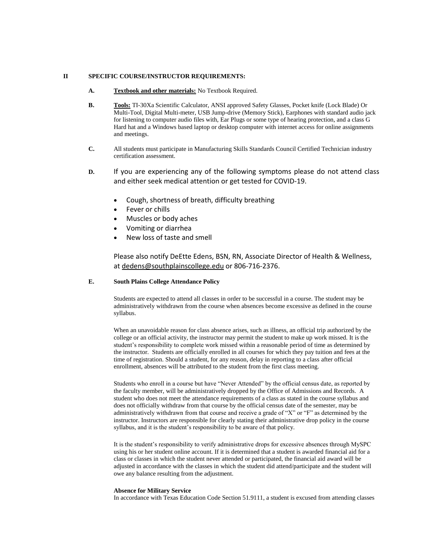### **II SPECIFIC COURSE/INSTRUCTOR REQUIREMENTS:**

- **A. Textbook and other materials:** No Textbook Required.
- **B. Tools:** TI-30Xa Scientific Calculator, ANSI approved Safety Glasses, Pocket knife (Lock Blade) Or Multi-Tool, Digital Multi-meter, USB Jump-drive (Memory Stick), Earphones with standard audio jack for listening to computer audio files with, Ear Plugs or some type of hearing protection, and a class G Hard hat and a Windows based laptop or desktop computer with internet access for online assignments and meetings.
- **C.** All students must participate in Manufacturing Skills Standards Council Certified Technician industry certification assessment.
- **D.** If you are experiencing any of the following symptoms please do not attend class and either seek medical attention or get tested for COVID-19.
	- Cough, shortness of breath, difficulty breathing
	- Fever or chills
	- Muscles or body aches
	- Vomiting or diarrhea
	- New loss of taste and smell

Please also notify DeEtte Edens, BSN, RN, Associate Director of Health & Wellness, at [dedens@southplainscollege.edu](mailto:dedens@southplainscollege.edu) or 806-716-2376.

## **E. South Plains College Attendance Policy**

Students are expected to attend all classes in order to be successful in a course. The student may be administratively withdrawn from the course when absences become excessive as defined in the course syllabus.

When an unavoidable reason for class absence arises, such as illness, an official trip authorized by the college or an official activity, the instructor may permit the student to make up work missed. It is the student's responsibility to complete work missed within a reasonable period of time as determined by the instructor. Students are officially enrolled in all courses for which they pay tuition and fees at the time of registration. Should a student, for any reason, delay in reporting to a class after official enrollment, absences will be attributed to the student from the first class meeting.

Students who enroll in a course but have "Never Attended" by the official census date, as reported by the faculty member, will be administratively dropped by the Office of Admissions and Records. A student who does not meet the attendance requirements of a class as stated in the course syllabus and does not officially withdraw from that course by the official census date of the semester, may be administratively withdrawn from that course and receive a grade of "X" or "F" as determined by the instructor. Instructors are responsible for clearly stating their administrative drop policy in the course syllabus, and it is the student's responsibility to be aware of that policy.

It is the student's responsibility to verify administrative drops for excessive absences through MySPC using his or her student online account. If it is determined that a student is awarded financial aid for a class or classes in which the student never attended or participated, the financial aid award will be adjusted in accordance with the classes in which the student did attend/participate and the student will owe any balance resulting from the adjustment.

#### **Absence for Military Service**

In accordance with Texas Education Code Section 51.9111, a student is excused from attending classes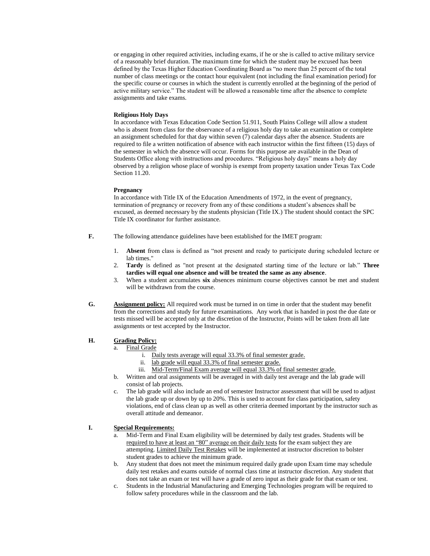or engaging in other required activities, including exams, if he or she is called to active military service of a reasonably brief duration. The maximum time for which the student may be excused has been defined by the Texas Higher Education Coordinating Board as "no more than 25 percent of the total number of class meetings or the contact hour equivalent (not including the final examination period) for the specific course or courses in which the student is currently enrolled at the beginning of the period of active military service." The student will be allowed a reasonable time after the absence to complete assignments and take exams.

### **Religious Holy Days**

In accordance with Texas Education Code Section 51.911, South Plains College will allow a student who is absent from class for the observance of a religious holy day to take an examination or complete an assignment scheduled for that day within seven (7) calendar days after the absence. Students are required to file a written notification of absence with each instructor within the first fifteen (15) days of the semester in which the absence will occur. Forms for this purpose are available in the Dean of Students Office along with instructions and procedures. "Religious holy days" means a holy day observed by a religion whose place of worship is exempt from property taxation under Texas Tax Code Section 11.20.

### **Pregnancy**

In accordance with Title IX of the Education Amendments of 1972, in the event of pregnancy, termination of pregnancy or recovery from any of these conditions a student's absences shall be excused, as deemed necessary by the students physician (Title IX.) The student should contact the SPC Title IX coordinator for further assistance.

- **F.** The following attendance guidelines have been established for the IMET program:
	- 1. **Absent** from class is defined as "not present and ready to participate during scheduled lecture or lab times."
	- 2. **Tardy** is defined as "not present at the designated starting time of the lecture or lab." **Three tardies will equal one absence and will be treated the same as any absence**.
	- 3. When a student accumulates **six** absences minimum course objectives cannot be met and student will be withdrawn from the course.
- **G. Assignment policy:** All required work must be turned in on time in order that the student may benefit from the corrections and study for future examinations. Any work that is handed in post the due date or tests missed will be accepted only at the discretion of the Instructor, Points will be taken from all late assignments or test accepted by the Instructor.

### **H. Grading Policy:**

- a. Final Grade
	- i. Daily tests average will equal 33.3% of final semester grade.
	- ii. lab grade will equal 33.3% of final semester grade.
	- iii. Mid-Term/Final Exam average will equal 33.3% of final semester grade.
- b. Written and oral assignments will be averaged in with daily test average and the lab grade will consist of lab projects.
- c. The lab grade will also include an end of semester Instructor assessment that will be used to adjust the lab grade up or down by up to 20%. This is used to account for class participation, safety violations, end of class clean up as well as other criteria deemed important by the instructor such as overall attitude and demeanor.

## **I. Special Requirements:**

- a. Mid-Term and Final Exam eligibility will be determined by daily test grades. Students will be required to have at least an "80" average on their daily tests for the exam subject they are attempting. Limited Daily Test Retakes will be implemented at instructor discretion to bolster student grades to achieve the minimum grade.
- b. Any student that does not meet the minimum required daily grade upon Exam time may schedule daily test retakes and exams outside of normal class time at instructor discretion. Any student that does not take an exam or test will have a grade of zero input as their grade for that exam or test.
- c. Students in the Industrial Manufacturing and Emerging Technologies program will be required to follow safety procedures while in the classroom and the lab.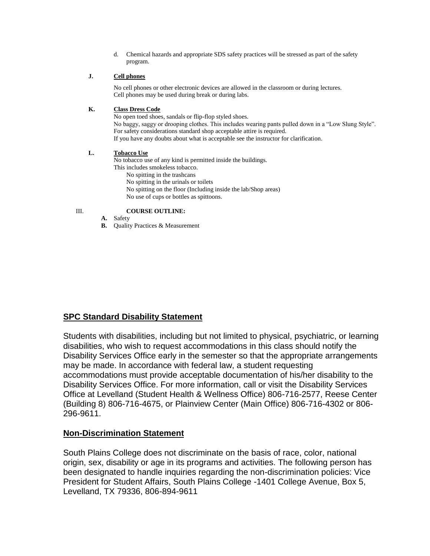d. Chemical hazards and appropriate SDS safety practices will be stressed as part of the safety program.

## **J. Cell phones**

No cell phones or other electronic devices are allowed in the classroom or during lectures. Cell phones may be used during break or during labs.

## **K. Class Dress Code**

No open toed shoes, sandals or flip-flop styled shoes. No baggy, saggy or drooping clothes. This includes wearing pants pulled down in a "Low Slung Style". For safety considerations standard shop acceptable attire is required. If you have any doubts about what is acceptable see the instructor for clarification.

## **L. Tobacco Use**

No tobacco use of any kind is permitted inside the buildings.

- This includes smokeless tobacco.
	- No spitting in the trashcans
	- No spitting in the urinals or toilets
	- No spitting on the floor (Including inside the lab/Shop areas)
	- No use of cups or bottles as spittoons.
- 

## III. **COURSE OUTLINE:**

- **A.** Safety
- **B.** Quality Practices & Measurement

## **SPC Standard Disability Statement**

Students with disabilities, including but not limited to physical, psychiatric, or learning disabilities, who wish to request accommodations in this class should notify the Disability Services Office early in the semester so that the appropriate arrangements may be made. In accordance with federal law, a student requesting accommodations must provide acceptable documentation of his/her disability to the Disability Services Office. For more information, call or visit the Disability Services Office at Levelland (Student Health & Wellness Office) 806-716-2577, Reese Center (Building 8) 806-716-4675, or Plainview Center (Main Office) 806-716-4302 or 806- 296-9611.

## **Non-Discrimination Statement**

South Plains College does not discriminate on the basis of race, color, national origin, sex, disability or age in its programs and activities. The following person has been designated to handle inquiries regarding the non-discrimination policies: Vice President for Student Affairs, South Plains College -1401 College Avenue, Box 5, Levelland, TX 79336, 806-894-9611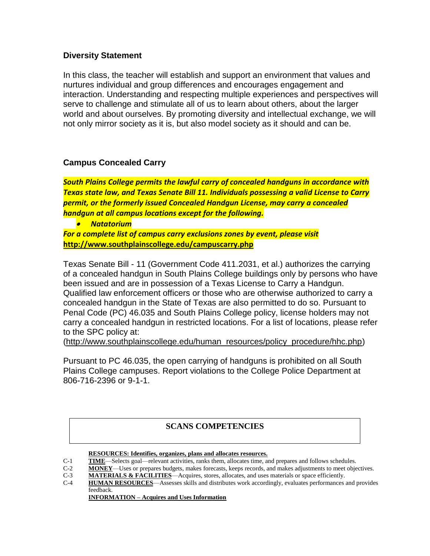## **Diversity Statement**

In this class, the teacher will establish and support an environment that values and nurtures individual and group differences and encourages engagement and interaction. Understanding and respecting multiple experiences and perspectives will serve to challenge and stimulate all of us to learn about others, about the larger world and about ourselves. By promoting diversity and intellectual exchange, we will not only mirror society as it is, but also model society as it should and can be.

## **Campus Concealed Carry**

*South Plains College permits the lawful carry of concealed handguns in accordance with Texas state law, and Texas Senate Bill 11. Individuals possessing a valid License to Carry permit, or the formerly issued Concealed Handgun License, may carry a concealed handgun at all campus locations except for the following.*

• *Natatorium*

*For a complete list of campus carry exclusions zones by event, please visit* **<http://www.southplainscollege.edu/campuscarry.php>**

Texas Senate Bill - 11 (Government Code 411.2031, et al.) authorizes the carrying of a concealed handgun in South Plains College buildings only by persons who have been issued and are in possession of a Texas License to Carry a Handgun. Qualified law enforcement officers or those who are otherwise authorized to carry a concealed handgun in the State of Texas are also permitted to do so. Pursuant to Penal Code (PC) 46.035 and South Plains College policy, license holders may not carry a concealed handgun in restricted locations. For a list of locations, please refer to the SPC policy at:

[\(http://www.southplainscollege.edu/human\\_resources/policy\\_procedure/hhc.php\)](http://www.southplainscollege.edu/human_resources/policy_procedure/hhc.php)

Pursuant to PC 46.035, the open carrying of handguns is prohibited on all South Plains College campuses. Report violations to the College Police Department at 806-716-2396 or 9-1-1.

## **SCANS COMPETENCIES**

**RESOURCES: Identifies, organizes, plans and allocates resources.**

- C-1 **TIME**—Selects goal—relevant activities, ranks them, allocates time, and prepares and follows schedules.
- C-2 **MONEY**—Uses or prepares budgets, makes forecasts, keeps records, and makes adjustments to meet objectives.
- C-3 **MATERIALS & FACILITIES**—Acquires, stores, allocates, and uses materials or space efficiently.<br>C-4 **HUMAN RESOURCES**—Assesses skills and distributes work accordingly, evaluates performances and
- HUMAN RESOURCES—Assesses skills and distributes work accordingly, evaluates performances and provides feedback.

**INFORMATION – Acquires and Uses Information**